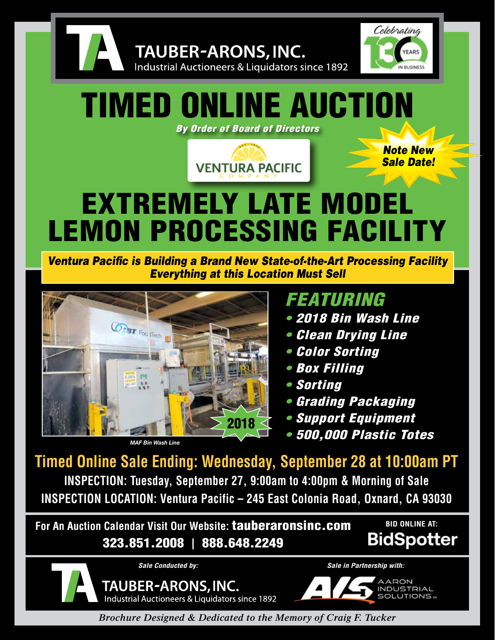



## TIMED ONLINE AUCTION *By Order of Board of Directors*



*Note New Sale Date!*

# EXTREMELY LATE MODEL **LEMON PROCESSING FACILI**

*Ventura Pacific is Building a Brand New State-of-the-Art Processing Facility Everything at this Location Must Sell*



### *FEATURING*

- *2018 Bin Wash Line*
- *Clean Drying Line*
- *Color Sorting*
- *Box Filling*
- *Sorting*
- *Grading Packaging*
- *Support Equipment*
- *500,000 Plastic Totes 500,000 Plastic Totes*

**Timed Online Sale Ending: Wednesday, September 28 at 10:00am PT INSPECTION: Tuesday, September 27, 9:00am to 4:00pm & Morning of Sale INSPECTION LOCATION: Ventura Pacific – 245 East Colonia Road, Oxnard, CA 93030**

**For An Auction Calendar Visit Our Website:** tauberaronsinc.com 323.851.2008 **|** 888.648.2249

**BID ONLINE AT: BidSpotter** 



*Sale Conducted by: Sale in Partnership with:*

**TAUBER-ARONS, INC.** Industrial Auctioneers & Liquidators since 1892



*Brochure Designed & Dedicated to the Memory of Craig F. Tucker*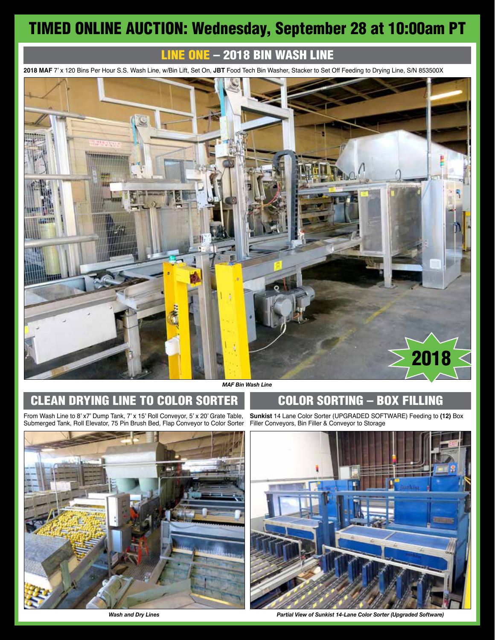## TIMED ONLINE AUCTION: Wednesday, September 28 at 10:00am PT

### LINE ONE – 2018 BIN WASH LINE

**2018 MAF** 7' x 120 Bins Per Hour S.S. Wash Line, w/Bin Lift, Set On, **JBT** Food Tech Bin Washer, Stacker to Set Off Feeding to Drying Line, S/N 853500X



#### *MAF Bin Wash Line*

### CLEAN DRYING LINE TO COLOR SORTER

From Wash Line to 8' x7' Dump Tank, 7' x 15' Roll Conveyor, 5' x 20' Grate Table, Submerged Tank, Roll Elevator, 75 Pin Brush Bed, Flap Conveyor to Color Sorter



*Wash and Dry Lines*

### COLOR SORTING – BOX FILLING

**Sunkist** 14 Lane Color Sorter (UPGRADED SOFTWARE) Feeding to **(12)** Box Filler Conveyors, Bin Filler & Conveyor to Storage



*Partial View of Sunkist 14-Lane Color Sorter (Upgraded Software)*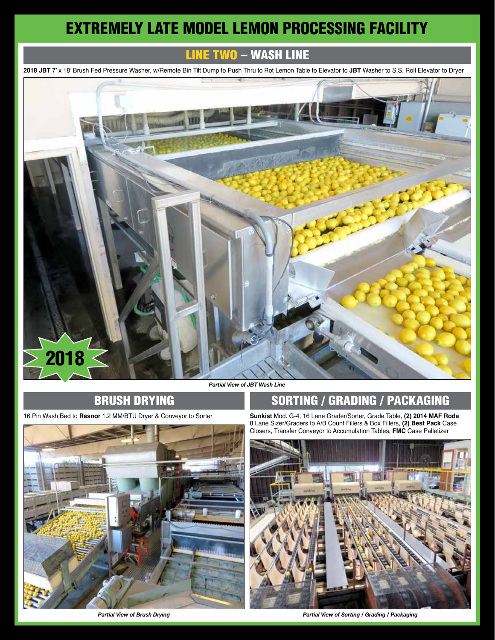## EXTREMELY LATE MODEL LEMON PROCESSING FACILITY

#### LINE TWO – WASH LINE

**2018 JBT** 7' x 18' Brush Fed Pressure Washer, w/Remote Bin Tilt Dump to Push Thru to Rot Lemon Table to Elevator to **JBT** Washer to S.S. Roll Elevator to Dryer



#### *Partial View of JBT Wash Line*

#### BRUSH DRYING

16 Pin Wash Bed to **Resnor** 1.2 MM/BTU Dryer & Conveyor to Sorter



*Partial View of Brush Drying*

SORTING / GRADING / PACKAGING **Sunkist** Mod. G-4, 16 Lane Grader/Sorter, Grade Table, **(2) 2014 MAF Roda**





*Partial View of Sorting / Grading / Packaging*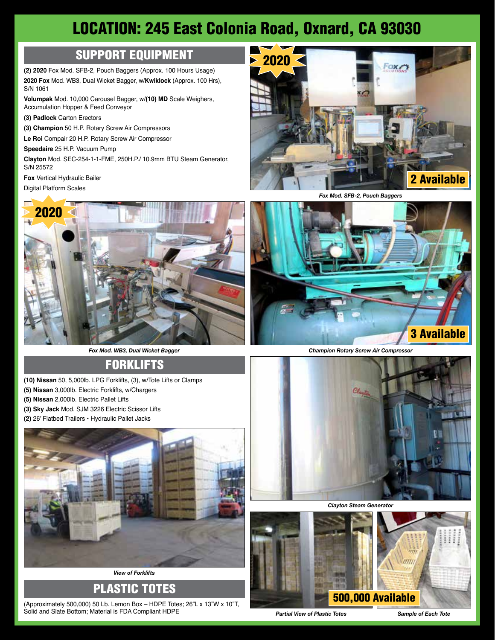### LOCATION: 245 East Colonia Road, Oxnard, CA 93030

#### SUPPORT EQUIPMENT

**(2) 2020** Fox Mod. SFB-2, Pouch Baggers (Approx. 100 Hours Usage) **2020 Fox** Mod. WB3, Dual Wicket Bagger, w/**Kwiklock** (Approx. 100 Hrs), S/N 1061

**Volumpak** Mod. 10,000 Carousel Bagger, w/**(10) MD** Scale Weighers, Accumulation Hopper & Feed Conveyor

**(3) Padlock** Carton Erectors

**(3) Champion** 50 H.P. Rotary Screw Air Compressors

**Le Roi** Compair 20 H.P. Rotary Screw Air Compressor

#### **Speedaire** 25 H.P. Vacuum Pump

**Clayton** Mod. SEC-254-1-1-FME, 250H.P./ 10.9mm BTU Steam Generator, S/N 25572

**Fox** Vertical Hydraulic Bailer

Digital Platform Scales



*Fox Mod. SFB-2, Pouch Baggers*



*Fox Mod. WB3, Dual Wicket Bagger*

### **FORKLIFTS**

**(10) Nissan** 50, 5,000lb. LPG Forklifts, (3), w/Tote Lifts or Clamps

- **(5) Nissan** 3,000lb. Electric Forklifts, w/Chargers
- **(5) Nissan** 2,000lb. Electric Pallet Lifts
- **(3) Sky Jack** Mod. SJM 3226 Electric Scissor Lifts
- **(2)** 26' Flatbed Trailers Hydraulic Pallet Jacks



*View of Forklifts*



(Approximately 500,000) 50 Lb. Lemon Box – HDPE Totes; 26"L x 13"W x 10"T, Solid and Slate Bottom; Material is FDA Compliant HDPE



*Champion Rotary Screw Air Compressor*



*Clayton Steam Generator*



*Partial View of Plastic Totes Sample of Each Tote*